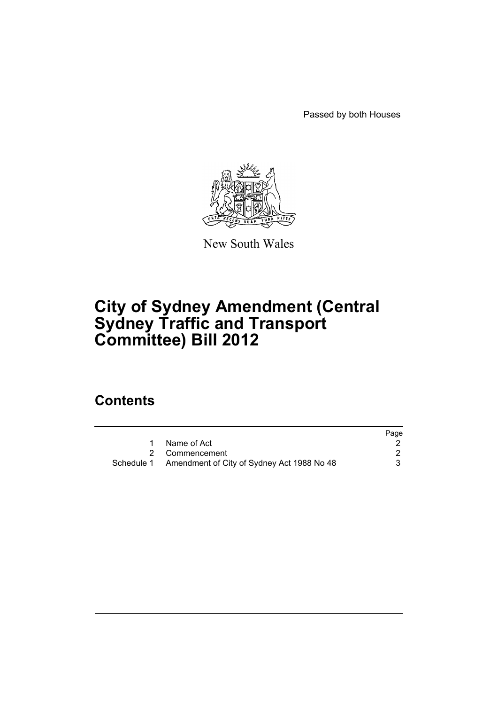Passed by both Houses



New South Wales

# **City of Sydney Amendment (Central Sydney Traffic and Transport Committee) Bill 2012**

# **Contents**

|                                                       | Page |
|-------------------------------------------------------|------|
| Name of Act                                           |      |
| 2 Commencement                                        |      |
| Schedule 1 Amendment of City of Sydney Act 1988 No 48 |      |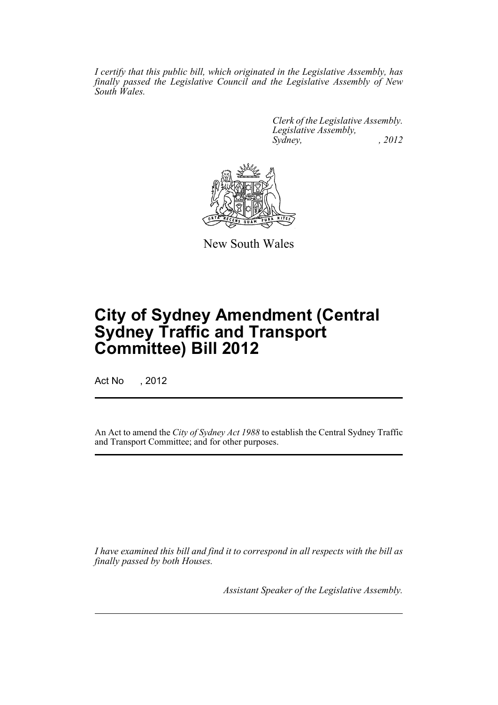*I certify that this public bill, which originated in the Legislative Assembly, has finally passed the Legislative Council and the Legislative Assembly of New South Wales.*

> *Clerk of the Legislative Assembly. Legislative Assembly, Sydney, , 2012*



New South Wales

# **City of Sydney Amendment (Central Sydney Traffic and Transport Committee) Bill 2012**

Act No , 2012

An Act to amend the *City of Sydney Act 1988* to establish the Central Sydney Traffic and Transport Committee; and for other purposes.

*I have examined this bill and find it to correspond in all respects with the bill as finally passed by both Houses.*

*Assistant Speaker of the Legislative Assembly.*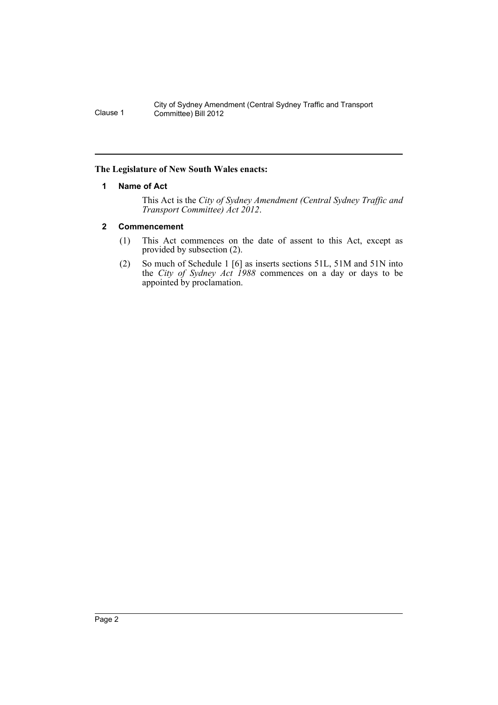# <span id="page-3-0"></span>**The Legislature of New South Wales enacts:**

# **1 Name of Act**

This Act is the *City of Sydney Amendment (Central Sydney Traffic and Transport Committee) Act 2012*.

# <span id="page-3-1"></span>**2 Commencement**

- (1) This Act commences on the date of assent to this Act, except as provided by subsection (2).
- (2) So much of Schedule 1 [6] as inserts sections 51L, 51M and 51N into the *City of Sydney Act 1988* commences on a day or days to be appointed by proclamation.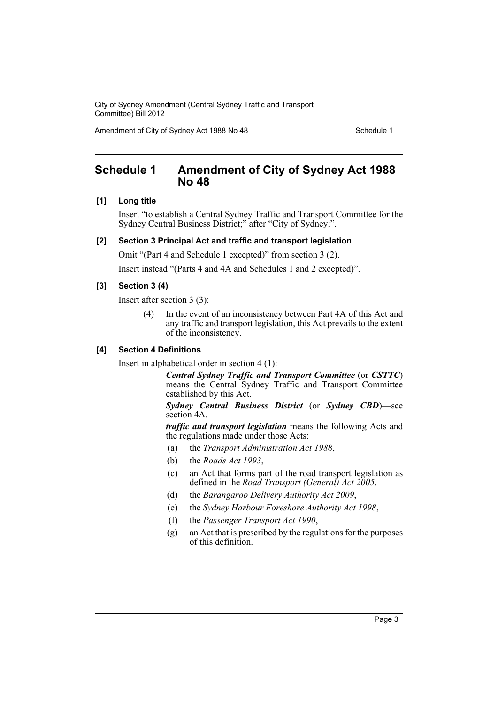Amendment of City of Sydney Act 1988 No 48 Schedule 1

# <span id="page-4-0"></span>**Schedule 1 Amendment of City of Sydney Act 1988 No 48**

### **[1] Long title**

Insert "to establish a Central Sydney Traffic and Transport Committee for the Sydney Central Business District;" after "City of Sydney;".

### **[2] Section 3 Principal Act and traffic and transport legislation**

Omit "(Part 4 and Schedule 1 excepted)" from section 3 (2).

Insert instead "(Parts 4 and 4A and Schedules 1 and 2 excepted)".

#### **[3] Section 3 (4)**

Insert after section 3 (3):

(4) In the event of an inconsistency between Part 4A of this Act and any traffic and transport legislation, this Act prevails to the extent of the inconsistency.

#### **[4] Section 4 Definitions**

Insert in alphabetical order in section 4 (1):

*Central Sydney Traffic and Transport Committee* (or *CSTTC*) means the Central Sydney Traffic and Transport Committee established by this Act.

*Sydney Central Business District* (or *Sydney CBD*)—see section 4A.

*traffic and transport legislation* means the following Acts and the regulations made under those Acts:

- (a) the *Transport Administration Act 1988*,
- (b) the *Roads Act 1993*,
- (c) an Act that forms part of the road transport legislation as defined in the *Road Transport (General) Act 2005*,
- (d) the *Barangaroo Delivery Authority Act 2009*,
- (e) the *Sydney Harbour Foreshore Authority Act 1998*,
- (f) the *Passenger Transport Act 1990*,
- (g) an Act that is prescribed by the regulations for the purposes of this definition.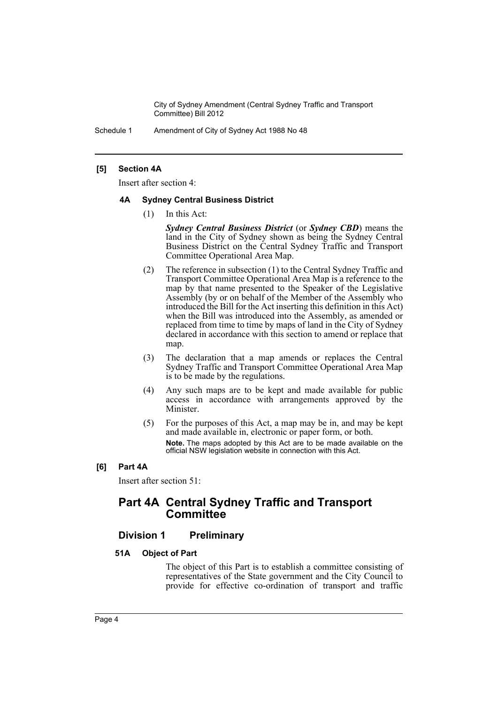Schedule 1 Amendment of City of Sydney Act 1988 No 48

# **[5] Section 4A**

Insert after section 4:

# **4A Sydney Central Business District**

(1) In this Act:

*Sydney Central Business District* (or *Sydney CBD*) means the land in the City of Sydney shown as being the Sydney Central Business District on the Central Sydney Traffic and Transport Committee Operational Area Map.

- (2) The reference in subsection (1) to the Central Sydney Traffic and Transport Committee Operational Area Map is a reference to the map by that name presented to the Speaker of the Legislative Assembly (by or on behalf of the Member of the Assembly who introduced the Bill for the Act inserting this definition in this Act) when the Bill was introduced into the Assembly, as amended or replaced from time to time by maps of land in the City of Sydney declared in accordance with this section to amend or replace that map.
- (3) The declaration that a map amends or replaces the Central Sydney Traffic and Transport Committee Operational Area Map is to be made by the regulations.
- (4) Any such maps are to be kept and made available for public access in accordance with arrangements approved by the Minister.
- (5) For the purposes of this Act, a map may be in, and may be kept and made available in, electronic or paper form, or both. **Note.** The maps adopted by this Act are to be made available on the official NSW legislation website in connection with this Act.
- **[6] Part 4A**

Insert after section 51:

# **Part 4A Central Sydney Traffic and Transport Committee**

# **Division 1 Preliminary**

# **51A Object of Part**

The object of this Part is to establish a committee consisting of representatives of the State government and the City Council to provide for effective co-ordination of transport and traffic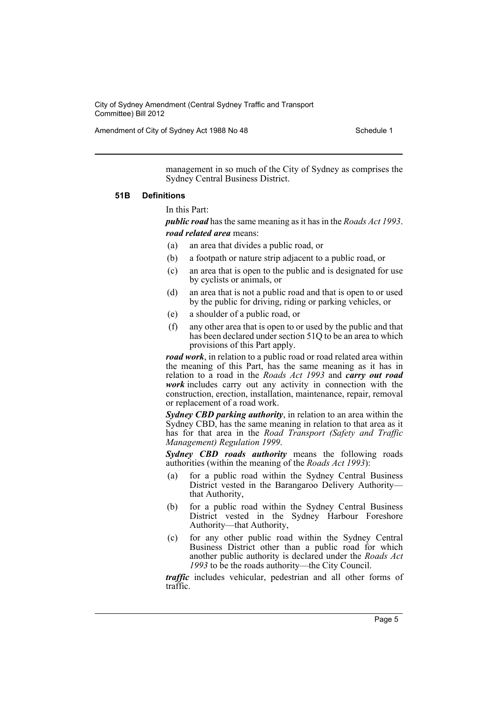Amendment of City of Sydney Act 1988 No 48 Schedule 1

management in so much of the City of Sydney as comprises the Sydney Central Business District.

#### **51B Definitions**

#### In this Part:

*public road* has the same meaning as it has in the *Roads Act 1993*. *road related area* means:

- (a) an area that divides a public road, or
- (b) a footpath or nature strip adjacent to a public road, or
- (c) an area that is open to the public and is designated for use by cyclists or animals, or
- (d) an area that is not a public road and that is open to or used by the public for driving, riding or parking vehicles, or
- (e) a shoulder of a public road, or
- (f) any other area that is open to or used by the public and that has been declared under section 51Q to be an area to which provisions of this Part apply.

*road work*, in relation to a public road or road related area within the meaning of this Part, has the same meaning as it has in relation to a road in the *Roads Act 1993* and *carry out road work* includes carry out any activity in connection with the construction, erection, installation, maintenance, repair, removal or replacement of a road work.

*Sydney CBD parking authority*, in relation to an area within the Sydney CBD, has the same meaning in relation to that area as it has for that area in the *Road Transport (Safety and Traffic Management) Regulation 1999*.

*Sydney CBD roads authority* means the following roads authorities (within the meaning of the *Roads Act 1993*):

- (a) for a public road within the Sydney Central Business District vested in the Barangaroo Delivery Authority that Authority,
- (b) for a public road within the Sydney Central Business District vested in the Sydney Harbour Foreshore Authority—that Authority,
- (c) for any other public road within the Sydney Central Business District other than a public road for which another public authority is declared under the *Roads Act 1993* to be the roads authority—the City Council.

*traffic* includes vehicular, pedestrian and all other forms of traffic.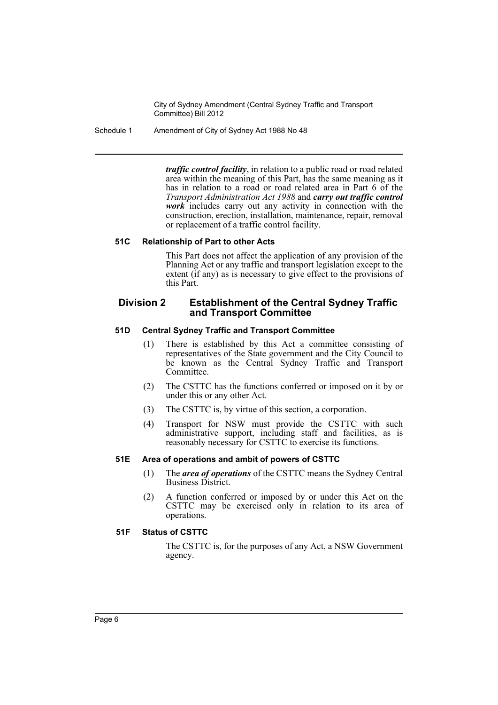Schedule 1 Amendment of City of Sydney Act 1988 No 48

*traffic control facility*, in relation to a public road or road related area within the meaning of this Part, has the same meaning as it has in relation to a road or road related area in Part 6 of the *Transport Administration Act 1988* and *carry out traffic control work* includes carry out any activity in connection with the construction, erection, installation, maintenance, repair, removal or replacement of a traffic control facility.

# **51C Relationship of Part to other Acts**

This Part does not affect the application of any provision of the Planning Act or any traffic and transport legislation except to the extent (if any) as is necessary to give effect to the provisions of this Part.

# **Division 2 Establishment of the Central Sydney Traffic and Transport Committee**

# **51D Central Sydney Traffic and Transport Committee**

- (1) There is established by this Act a committee consisting of representatives of the State government and the City Council to be known as the Central Sydney Traffic and Transport Committee.
- (2) The CSTTC has the functions conferred or imposed on it by or under this or any other Act.
- (3) The CSTTC is, by virtue of this section, a corporation.
- (4) Transport for NSW must provide the CSTTC with such administrative support, including staff and facilities, as is reasonably necessary for CSTTC to exercise its functions.

#### **51E Area of operations and ambit of powers of CSTTC**

- (1) The *area of operations* of the CSTTC means the Sydney Central Business District.
- (2) A function conferred or imposed by or under this Act on the CSTTC may be exercised only in relation to its area of operations.

# **51F Status of CSTTC**

The CSTTC is, for the purposes of any Act, a NSW Government agency.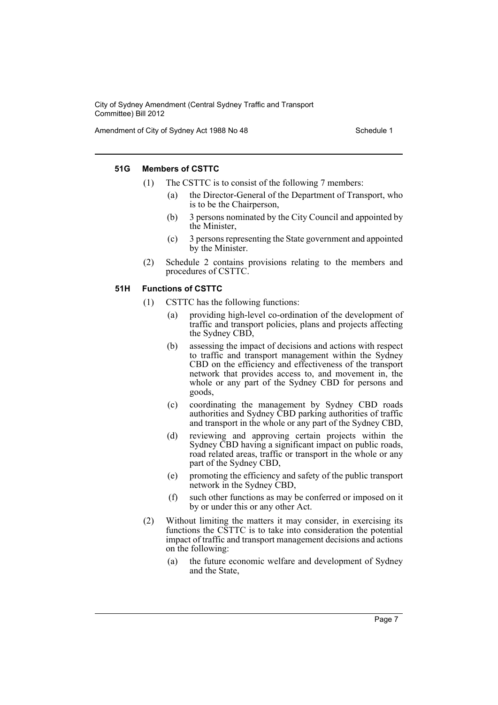Amendment of City of Sydney Act 1988 No 48 Schedule 1

# **51G Members of CSTTC**

- (1) The CSTTC is to consist of the following 7 members:
	- (a) the Director-General of the Department of Transport, who is to be the Chairperson,
	- (b) 3 persons nominated by the City Council and appointed by the Minister,
	- (c) 3 persons representing the State government and appointed by the Minister.
- (2) Schedule 2 contains provisions relating to the members and procedures of CSTTC.

#### **51H Functions of CSTTC**

- (1) CSTTC has the following functions:
	- (a) providing high-level co-ordination of the development of traffic and transport policies, plans and projects affecting the Sydney CBD,
	- (b) assessing the impact of decisions and actions with respect to traffic and transport management within the Sydney CBD on the efficiency and effectiveness of the transport network that provides access to, and movement in, the whole or any part of the Sydney CBD for persons and goods,
	- (c) coordinating the management by Sydney CBD roads authorities and Sydney CBD parking authorities of traffic and transport in the whole or any part of the Sydney CBD,
	- (d) reviewing and approving certain projects within the Sydney CBD having a significant impact on public roads, road related areas, traffic or transport in the whole or any part of the Sydney CBD,
	- (e) promoting the efficiency and safety of the public transport network in the Sydney CBD,
	- (f) such other functions as may be conferred or imposed on it by or under this or any other Act.
- (2) Without limiting the matters it may consider, in exercising its functions the CSTTC is to take into consideration the potential impact of traffic and transport management decisions and actions on the following:
	- (a) the future economic welfare and development of Sydney and the State,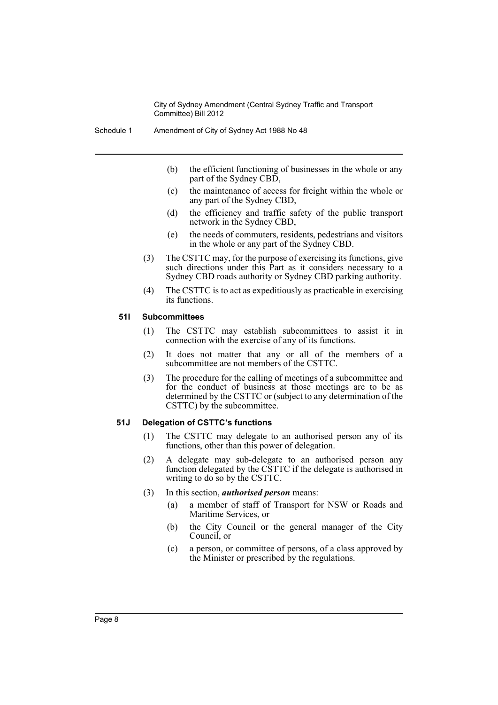- (b) the efficient functioning of businesses in the whole or any part of the Sydney CBD,
- (c) the maintenance of access for freight within the whole or any part of the Sydney CBD,
- (d) the efficiency and traffic safety of the public transport network in the Sydney CBD,
- (e) the needs of commuters, residents, pedestrians and visitors in the whole or any part of the Sydney CBD.
- (3) The CSTTC may, for the purpose of exercising its functions, give such directions under this Part as it considers necessary to a Sydney CBD roads authority or Sydney CBD parking authority.
- (4) The CSTTC is to act as expeditiously as practicable in exercising its functions.

#### **51I Subcommittees**

- (1) The CSTTC may establish subcommittees to assist it in connection with the exercise of any of its functions.
- (2) It does not matter that any or all of the members of a subcommittee are not members of the CSTTC.
- (3) The procedure for the calling of meetings of a subcommittee and for the conduct of business at those meetings are to be as determined by the CSTTC or (subject to any determination of the CSTTC) by the subcommittee.

#### **51J Delegation of CSTTC's functions**

- (1) The CSTTC may delegate to an authorised person any of its functions, other than this power of delegation.
- (2) A delegate may sub-delegate to an authorised person any function delegated by the CSTTC if the delegate is authorised in writing to do so by the CSTTC.
- (3) In this section, *authorised person* means:
	- (a) a member of staff of Transport for NSW or Roads and Maritime Services, or
	- (b) the City Council or the general manager of the City Council, or
	- (c) a person, or committee of persons, of a class approved by the Minister or prescribed by the regulations.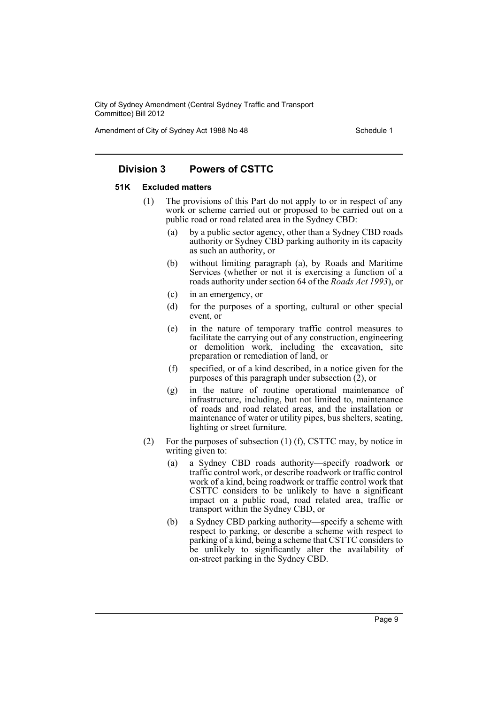Amendment of City of Sydney Act 1988 No 48 Schedule 1

# **Division 3 Powers of CSTTC**

#### **51K Excluded matters**

- (1) The provisions of this Part do not apply to or in respect of any work or scheme carried out or proposed to be carried out on a public road or road related area in the Sydney CBD:
	- (a) by a public sector agency, other than a Sydney CBD roads authority or Sydney CBD parking authority in its capacity as such an authority, or
	- (b) without limiting paragraph (a), by Roads and Maritime Services (whether or not it is exercising a function of a roads authority under section 64 of the *Roads Act 1993*), or
	- (c) in an emergency, or
	- (d) for the purposes of a sporting, cultural or other special event, or
	- (e) in the nature of temporary traffic control measures to facilitate the carrying out of any construction, engineering or demolition work, including the excavation, site preparation or remediation of land, or
	- (f) specified, or of a kind described, in a notice given for the purposes of this paragraph under subsection (2), or
	- (g) in the nature of routine operational maintenance of infrastructure, including, but not limited to, maintenance of roads and road related areas, and the installation or maintenance of water or utility pipes, bus shelters, seating, lighting or street furniture.
- (2) For the purposes of subsection (1) (f), CSTTC may, by notice in writing given to:
	- (a) a Sydney CBD roads authority—specify roadwork or traffic control work, or describe roadwork or traffic control work of a kind, being roadwork or traffic control work that CSTTC considers to be unlikely to have a significant impact on a public road, road related area, traffic or transport within the Sydney CBD, or
	- (b) a Sydney CBD parking authority—specify a scheme with respect to parking, or describe a scheme with respect to parking of a kind, being a scheme that CSTTC considers to be unlikely to significantly alter the availability of on-street parking in the Sydney CBD.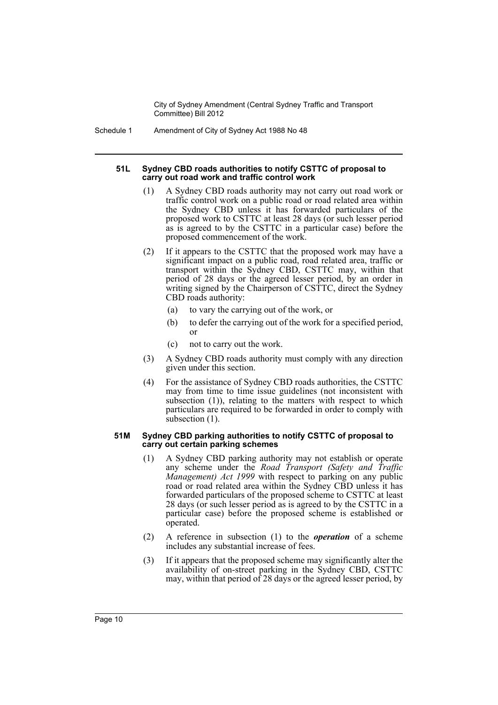Schedule 1 Amendment of City of Sydney Act 1988 No 48

#### **51L Sydney CBD roads authorities to notify CSTTC of proposal to carry out road work and traffic control work**

- (1) A Sydney CBD roads authority may not carry out road work or traffic control work on a public road or road related area within the Sydney CBD unless it has forwarded particulars of the proposed work to CSTTC at least 28 days (or such lesser period as is agreed to by the CSTTC in a particular case) before the proposed commencement of the work.
- (2) If it appears to the CSTTC that the proposed work may have a significant impact on a public road, road related area, traffic or transport within the Sydney CBD, CSTTC may, within that period of 28 days or the agreed lesser period, by an order in writing signed by the Chairperson of CSTTC, direct the Sydney CBD roads authority:
	- (a) to vary the carrying out of the work, or
	- (b) to defer the carrying out of the work for a specified period, or
	- (c) not to carry out the work.
- (3) A Sydney CBD roads authority must comply with any direction given under this section.
- (4) For the assistance of Sydney CBD roads authorities, the CSTTC may from time to time issue guidelines (not inconsistent with subsection (1)), relating to the matters with respect to which particulars are required to be forwarded in order to comply with subsection (1).

#### **51M Sydney CBD parking authorities to notify CSTTC of proposal to carry out certain parking schemes**

- (1) A Sydney CBD parking authority may not establish or operate any scheme under the *Road Transport (Safety and Traffic Management) Act 1999* with respect to parking on any public road or road related area within the Sydney CBD unless it has forwarded particulars of the proposed scheme to CSTTC at least 28 days (or such lesser period as is agreed to by the CSTTC in a particular case) before the proposed scheme is established or operated.
- (2) A reference in subsection (1) to the *operation* of a scheme includes any substantial increase of fees.
- (3) If it appears that the proposed scheme may significantly alter the availability of on-street parking in the Sydney CBD, CSTTC may, within that period of 28 days or the agreed lesser period, by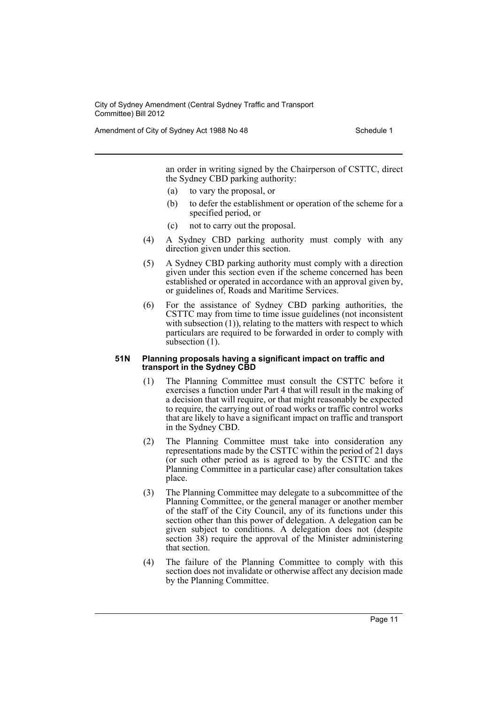Amendment of City of Sydney Act 1988 No 48 Schedule 1

an order in writing signed by the Chairperson of CSTTC, direct the Sydney CBD parking authority:

- (a) to vary the proposal, or
- (b) to defer the establishment or operation of the scheme for a specified period, or
- (c) not to carry out the proposal.
- (4) A Sydney CBD parking authority must comply with any direction given under this section.
- (5) A Sydney CBD parking authority must comply with a direction given under this section even if the scheme concerned has been established or operated in accordance with an approval given by, or guidelines of, Roads and Maritime Services.
- (6) For the assistance of Sydney CBD parking authorities, the CSTTC may from time to time issue guidelines (not inconsistent with subsection (1)), relating to the matters with respect to which particulars are required to be forwarded in order to comply with subsection  $(1)$ .

#### **51N Planning proposals having a significant impact on traffic and transport in the Sydney CBD**

- (1) The Planning Committee must consult the CSTTC before it exercises a function under Part 4 that will result in the making of a decision that will require, or that might reasonably be expected to require, the carrying out of road works or traffic control works that are likely to have a significant impact on traffic and transport in the Sydney CBD.
- (2) The Planning Committee must take into consideration any representations made by the CSTTC within the period of 21 days (or such other period as is agreed to by the CSTTC and the Planning Committee in a particular case) after consultation takes place.
- (3) The Planning Committee may delegate to a subcommittee of the Planning Committee, or the general manager or another member of the staff of the City Council, any of its functions under this section other than this power of delegation. A delegation can be given subject to conditions. A delegation does not (despite section 38) require the approval of the Minister administering that section.
- (4) The failure of the Planning Committee to comply with this section does not invalidate or otherwise affect any decision made by the Planning Committee.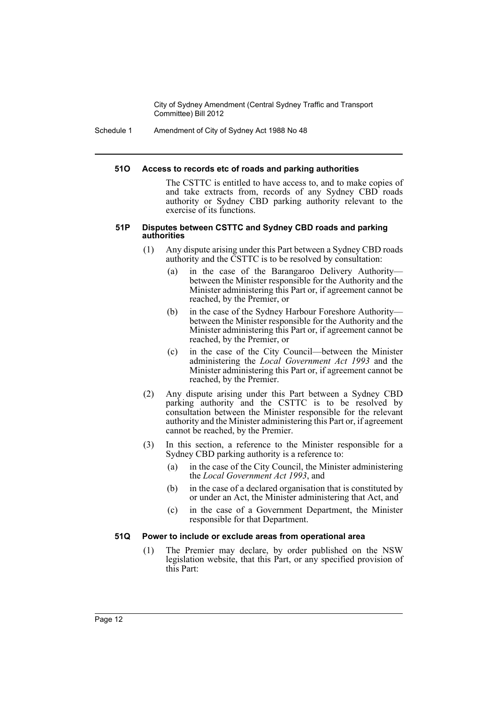Schedule 1 Amendment of City of Sydney Act 1988 No 48

#### **51O Access to records etc of roads and parking authorities**

The CSTTC is entitled to have access to, and to make copies of and take extracts from, records of any Sydney CBD roads authority or Sydney CBD parking authority relevant to the exercise of its functions.

#### **51P Disputes between CSTTC and Sydney CBD roads and parking authorities**

- (1) Any dispute arising under this Part between a Sydney CBD roads authority and the CSTTC is to be resolved by consultation:
	- (a) in the case of the Barangaroo Delivery Authority between the Minister responsible for the Authority and the Minister administering this Part or, if agreement cannot be reached, by the Premier, or
	- (b) in the case of the Sydney Harbour Foreshore Authority between the Minister responsible for the Authority and the Minister administering this Part or, if agreement cannot be reached, by the Premier, or
	- (c) in the case of the City Council—between the Minister administering the *Local Government Act 1993* and the Minister administering this Part or, if agreement cannot be reached, by the Premier.
- (2) Any dispute arising under this Part between a Sydney CBD parking authority and the CSTTC is to be resolved by consultation between the Minister responsible for the relevant authority and the Minister administering this Part or, if agreement cannot be reached, by the Premier.
- (3) In this section, a reference to the Minister responsible for a Sydney CBD parking authority is a reference to:
	- (a) in the case of the City Council, the Minister administering the *Local Government Act 1993*, and
	- (b) in the case of a declared organisation that is constituted by or under an Act, the Minister administering that Act, and
	- (c) in the case of a Government Department, the Minister responsible for that Department.

#### **51Q Power to include or exclude areas from operational area**

(1) The Premier may declare, by order published on the NSW legislation website, that this Part, or any specified provision of this Part: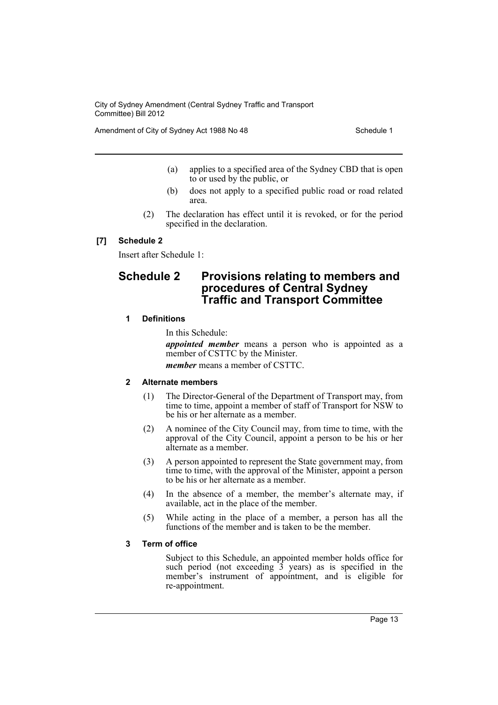Amendment of City of Sydney Act 1988 No 48 Schedule 1

- (a) applies to a specified area of the Sydney CBD that is open to or used by the public, or
- (b) does not apply to a specified public road or road related area.
- (2) The declaration has effect until it is revoked, or for the period specified in the declaration.

# **[7] Schedule 2**

Insert after Schedule 1:

# **Schedule 2 Provisions relating to members and procedures of Central Sydney Traffic and Transport Committee**

# **1 Definitions**

In this Schedule:

*appointed member* means a person who is appointed as a member of CSTTC by the Minister.

*member* means a member of CSTTC.

# **2 Alternate members**

- (1) The Director-General of the Department of Transport may, from time to time, appoint a member of staff of Transport for NSW to be his or her alternate as a member.
- (2) A nominee of the City Council may, from time to time, with the approval of the City Council, appoint a person to be his or her alternate as a member.
- (3) A person appointed to represent the State government may, from time to time, with the approval of the Minister, appoint a person to be his or her alternate as a member.
- (4) In the absence of a member, the member's alternate may, if available, act in the place of the member.
- (5) While acting in the place of a member, a person has all the functions of the member and is taken to be the member.

#### **3 Term of office**

Subject to this Schedule, an appointed member holds office for such period (not exceeding  $\hat{3}$  years) as is specified in the member's instrument of appointment, and is eligible for re-appointment.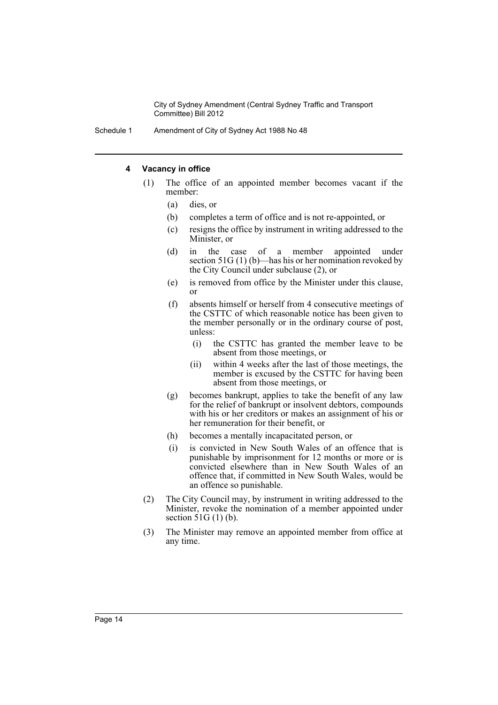Schedule 1 Amendment of City of Sydney Act 1988 No 48

# **4 Vacancy in office**

- (1) The office of an appointed member becomes vacant if the member:
	- (a) dies, or
	- (b) completes a term of office and is not re-appointed, or
	- (c) resigns the office by instrument in writing addressed to the Minister, or
	- (d) in the case of a member appointed under section 51G (1) (b)—has his or her nomination revoked by the City Council under subclause (2), or
	- (e) is removed from office by the Minister under this clause, or
	- (f) absents himself or herself from 4 consecutive meetings of the CSTTC of which reasonable notice has been given to the member personally or in the ordinary course of post, unless:
		- (i) the CSTTC has granted the member leave to be absent from those meetings, or
		- (ii) within 4 weeks after the last of those meetings, the member is excused by the CSTTC for having been absent from those meetings, or
	- (g) becomes bankrupt, applies to take the benefit of any law for the relief of bankrupt or insolvent debtors, compounds with his or her creditors or makes an assignment of his or her remuneration for their benefit, or
	- (h) becomes a mentally incapacitated person, or
	- (i) is convicted in New South Wales of an offence that is punishable by imprisonment for 12 months or more or is convicted elsewhere than in New South Wales of an offence that, if committed in New South Wales, would be an offence so punishable.
- (2) The City Council may, by instrument in writing addressed to the Minister, revoke the nomination of a member appointed under section  $51G(1)$  (b).
- (3) The Minister may remove an appointed member from office at any time.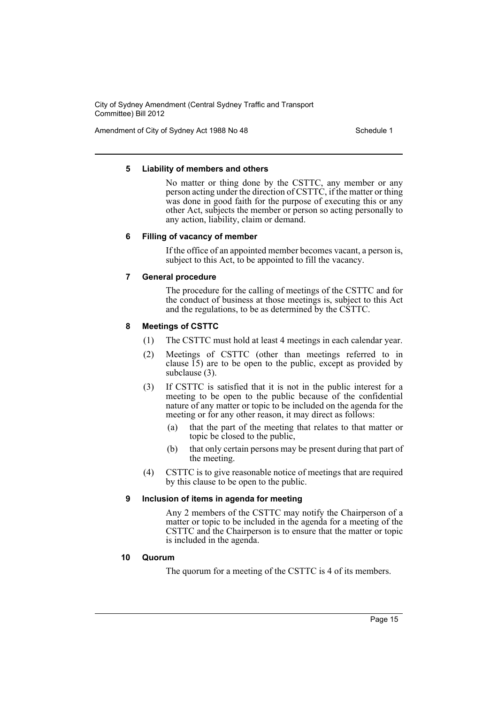Amendment of City of Sydney Act 1988 No 48 Schedule 1

### **5 Liability of members and others**

No matter or thing done by the CSTTC, any member or any person acting under the direction of CSTTC, if the matter or thing was done in good faith for the purpose of executing this or any other Act, subjects the member or person so acting personally to any action, liability, claim or demand.

# **6 Filling of vacancy of member**

If the office of an appointed member becomes vacant, a person is, subject to this Act, to be appointed to fill the vacancy.

# **7 General procedure**

The procedure for the calling of meetings of the CSTTC and for the conduct of business at those meetings is, subject to this Act and the regulations, to be as determined by the CSTTC.

# **8 Meetings of CSTTC**

- (1) The CSTTC must hold at least 4 meetings in each calendar year.
- (2) Meetings of CSTTC (other than meetings referred to in clause 15) are to be open to the public, except as provided by subclause (3).
- (3) If CSTTC is satisfied that it is not in the public interest for a meeting to be open to the public because of the confidential nature of any matter or topic to be included on the agenda for the meeting or for any other reason, it may direct as follows:
	- (a) that the part of the meeting that relates to that matter or topic be closed to the public,
	- (b) that only certain persons may be present during that part of the meeting.
- (4) CSTTC is to give reasonable notice of meetings that are required by this clause to be open to the public.

# **9 Inclusion of items in agenda for meeting**

Any 2 members of the CSTTC may notify the Chairperson of a matter or topic to be included in the agenda for a meeting of the CSTTC and the Chairperson is to ensure that the matter or topic is included in the agenda.

# **10 Quorum**

The quorum for a meeting of the CSTTC is 4 of its members.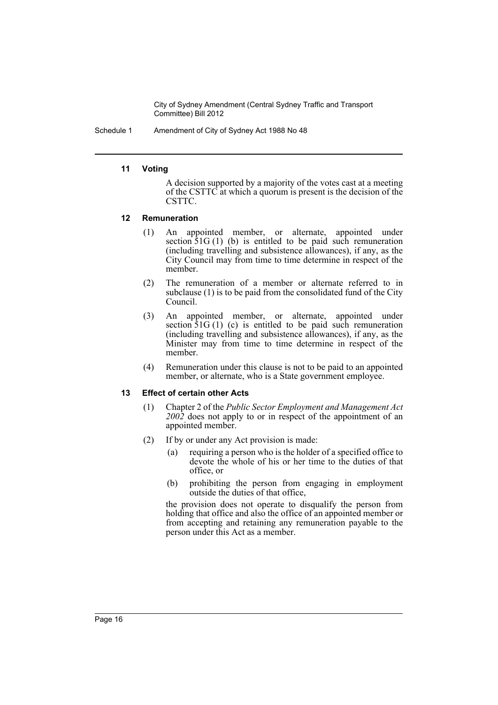Schedule 1 Amendment of City of Sydney Act 1988 No 48

# **11 Voting**

A decision supported by a majority of the votes cast at a meeting of the CSTTC at which a quorum is present is the decision of the CSTTC.

#### **12 Remuneration**

- (1) An appointed member, or alternate, appointed under section  $\overline{5}1G(1)$  (b) is entitled to be paid such remuneration (including travelling and subsistence allowances), if any, as the City Council may from time to time determine in respect of the member.
- (2) The remuneration of a member or alternate referred to in subclause (1) is to be paid from the consolidated fund of the City Council.
- (3) An appointed member, or alternate, appointed under section 51G(1) (c) is entitled to be paid such remuneration (including travelling and subsistence allowances), if any, as the Minister may from time to time determine in respect of the member.
- (4) Remuneration under this clause is not to be paid to an appointed member, or alternate, who is a State government employee.

# **13 Effect of certain other Acts**

- (1) Chapter 2 of the *Public Sector Employment and Management Act 2002* does not apply to or in respect of the appointment of an appointed member.
- (2) If by or under any Act provision is made:
	- (a) requiring a person who is the holder of a specified office to devote the whole of his or her time to the duties of that office, or
	- (b) prohibiting the person from engaging in employment outside the duties of that office,

the provision does not operate to disqualify the person from holding that office and also the office of an appointed member or from accepting and retaining any remuneration payable to the person under this Act as a member.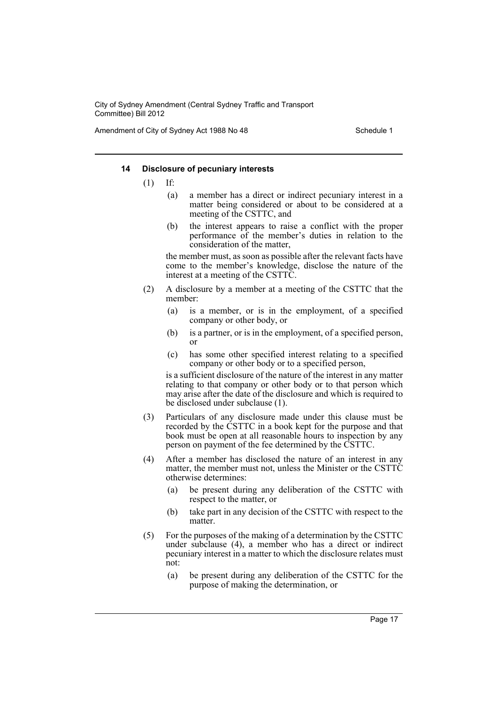Amendment of City of Sydney Act 1988 No 48 Schedule 1

### **14 Disclosure of pecuniary interests**

- (1) If:
	- (a) a member has a direct or indirect pecuniary interest in a matter being considered or about to be considered at a meeting of the CSTTC, and
	- (b) the interest appears to raise a conflict with the proper performance of the member's duties in relation to the consideration of the matter,

the member must, as soon as possible after the relevant facts have come to the member's knowledge, disclose the nature of the interest at a meeting of the CSTTC.

- (2) A disclosure by a member at a meeting of the CSTTC that the member:
	- (a) is a member, or is in the employment, of a specified company or other body, or
	- (b) is a partner, or is in the employment, of a specified person, or
	- (c) has some other specified interest relating to a specified company or other body or to a specified person,

is a sufficient disclosure of the nature of the interest in any matter relating to that company or other body or to that person which may arise after the date of the disclosure and which is required to be disclosed under subclause (1).

- (3) Particulars of any disclosure made under this clause must be recorded by the CSTTC in a book kept for the purpose and that book must be open at all reasonable hours to inspection by any person on payment of the fee determined by the CSTTC.
- (4) After a member has disclosed the nature of an interest in any matter, the member must not, unless the Minister or the CSTTC otherwise determines:
	- (a) be present during any deliberation of the CSTTC with respect to the matter, or
	- (b) take part in any decision of the CSTTC with respect to the matter.
- (5) For the purposes of the making of a determination by the CSTTC under subclause (4), a member who has a direct or indirect pecuniary interest in a matter to which the disclosure relates must not:
	- (a) be present during any deliberation of the CSTTC for the purpose of making the determination, or